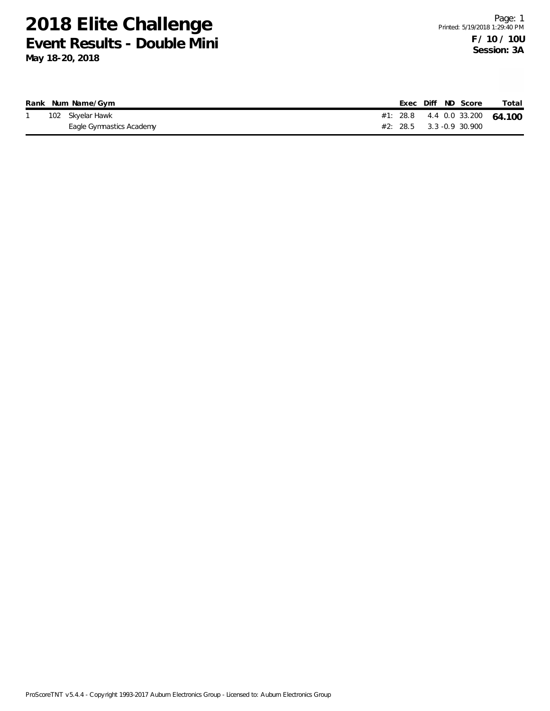|  | Rank Num Name/Gym        |  |  | Exec Diff ND Score         | Total                          |
|--|--------------------------|--|--|----------------------------|--------------------------------|
|  | 102 Skyelar Hawk         |  |  |                            | #1: 28.8 4.4 0.0 33.200 64.100 |
|  | Eagle Gymnastics Academy |  |  | $#2: 28.5$ 3.3 -0.9 30.900 |                                |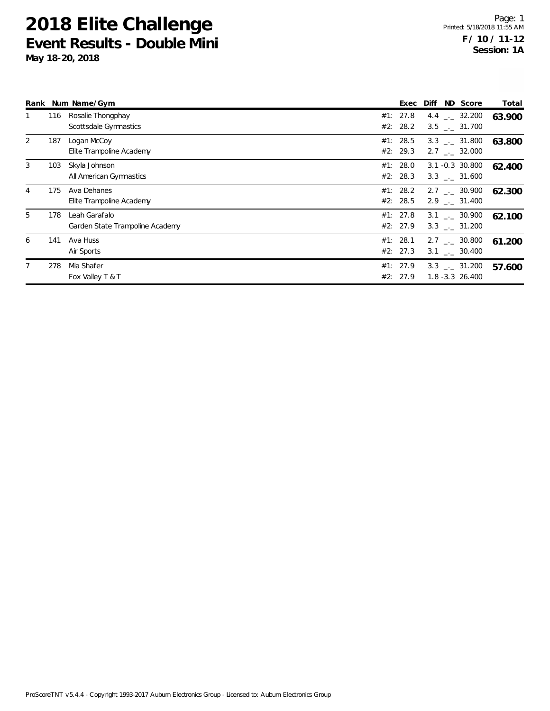| Rank |     | Num Name/Gym                                     | Exec                 | Diff | ND Score                                       | Total  |
|------|-----|--------------------------------------------------|----------------------|------|------------------------------------------------|--------|
|      | 116 | Rosalie Thongphay<br>Scottsdale Gymnastics       | #1: 27.8<br>#2: 28.2 |      | 4.4 $\frac{1}{2}$ 32.200<br>$3.5$ $-.$ 31.700  | 63.900 |
| 2    | 187 | Logan McCoy<br>Elite Trampoline Academy          | #1: 28.5<br>#2: 29.3 |      | $3.3$ $_{-1}$ 31.800<br>$2.7$ $_{\sim}$ 32.000 | 63.800 |
| 3    | 103 | Skyla Johnson<br>All American Gymnastics         | #1: 28.0<br>#2: 28.3 |      | $3.1 - 0.3$ 30.800<br>3.3 . 31.600             | 62.400 |
| 4    | 175 | Ava Dehanes<br>Elite Trampoline Academy          | #1: 28.2<br>#2: 28.5 |      | $2.7$ $_{\sim}$ 30.900<br>2.9 . 31.400         | 62.300 |
| 5    | 178 | Leah Garafalo<br>Garden State Trampoline Academy | #1: 27.8<br>#2: 27.9 |      | $3.1$ $_{-1}$ 30.900<br>$3.3$ $_{\sim}$ 31.200 | 62.100 |
| 6    | 141 | Ava Huss<br>Air Sports                           | #1: 28.1<br>#2: 27.3 |      | $2.7$ $_{\sim}$ 30.800<br>$3.1$ $-.$ 30.400    | 61.200 |
|      | 278 | Mia Shafer<br>Fox Valley T & T                   | #1: 27.9<br>#2: 27.9 |      | $3.3$ $_{-1}$ $31.200$<br>$1.8 - 3.3$ 26.400   | 57.600 |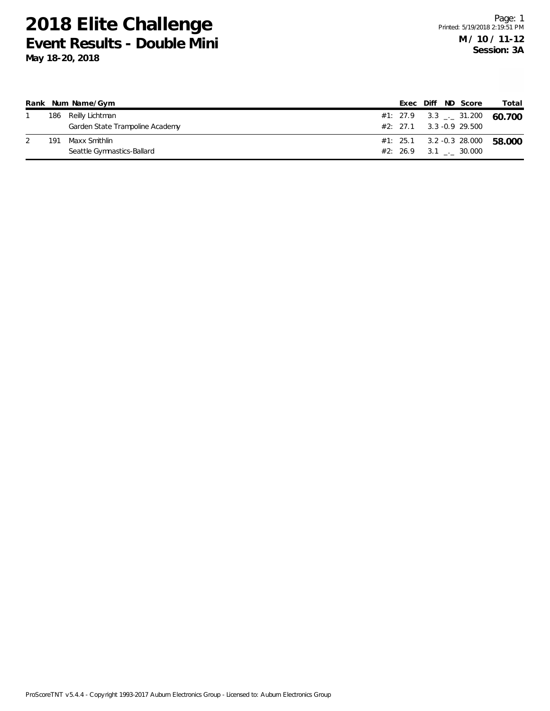|     | Rank Num Name/Gym               |  |  | Exec Diff ND Score                       | Total                          |
|-----|---------------------------------|--|--|------------------------------------------|--------------------------------|
|     | 186 Reilly Lichtman             |  |  |                                          | #1: 27.9 3.3 $-$ 31.200 60.700 |
|     | Garden State Trampoline Academy |  |  | $#2: 27.1 \qquad 3.3 -0.9 \qquad 29.500$ |                                |
| 191 | Maxx Smithlin                   |  |  | $#1: 25.1 3.2 -0.3 28.000$               | 58.000                         |
|     | Seattle Gymnastics-Ballard      |  |  | #2: 26.9 3.1 . 30.000                    |                                |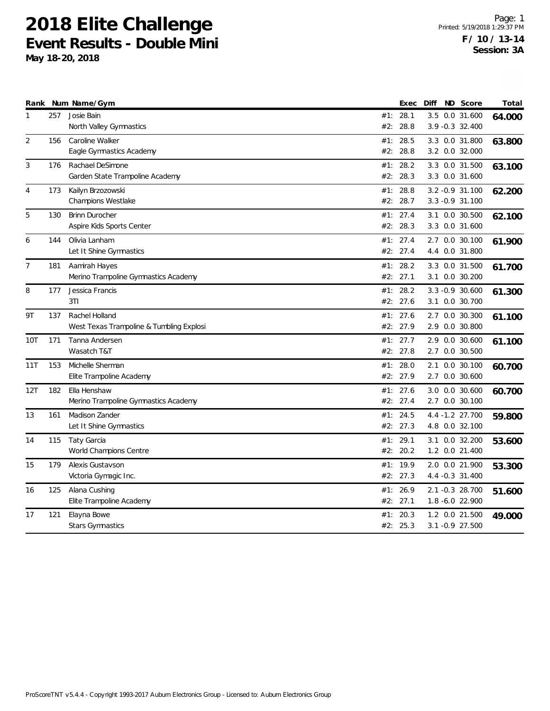| 257<br>Josie Bain<br>28.1<br>3.5 0.0 31.600<br>#1:<br>1<br>64.000<br>28.8<br>3.9 - 0.3 32.400<br>North Valley Gymnastics<br>#2:<br>2<br>156<br>Caroline Walker<br>28.5<br>#1:<br>3.3 0.0 31.800<br>63.800<br>#2:<br>28.8<br>3.2 0.0 32.000<br>Eagle Gymnastics Academy<br>3<br>28.2<br>176<br>Rachael DeSimone<br>#1:<br>3.3 0.0 31.500<br>63.100<br>Garden State Trampoline Academy<br>#2:<br>28.3<br>3.3 0.0 31.600<br>Kailyn Brzozowski<br>28.8<br>3.2 - 0.9 31.100<br>173<br>#1:<br>4<br>62.200<br>Champions Westlake<br>28.7<br>#2:<br>$3.3 - 0.9$ 31.100<br>5<br>27.4<br>130<br><b>Brinn Durocher</b><br>3.1 0.0 30.500<br>#1:<br>62.100<br>#2:<br>28.3<br>Aspire Kids Sports Center<br>3.3 0.0 31.600<br>6<br>144<br>Olivia Lanham<br>#1: 27.4<br>2.7 0.0 30.100<br>61.900<br>Let It Shine Gymnastics<br>#2: 27.4<br>4.4 0.0 31.800<br>$\overline{7}$<br>28.2<br>3.3 0.0 31.500<br>181<br>Aamirah Hayes<br>#1:<br>61.700<br>Merino Trampoline Gymnastics Academy<br>#2:<br>27.1<br>3.1 0.0 30.200<br>8<br>Jessica Francis<br>28.2<br>177<br>#1:<br>$3.3 -0.9$ 30.600<br>61.300<br>3T1<br>#2: 27.6<br>3.1 0.0 30.700<br>Rachel Holland<br>27.6<br>2.7 0.0 30.300<br>9T<br>137<br>#1:<br>61.100<br>West Texas Trampoline & Tumbling Explosi<br>#2: 27.9<br>2.9 0.0 30.800<br>27.7<br>171<br>Tanna Andersen<br>#1:<br>2.9<br>$0.0$ 30.600<br>10T<br>61.100<br>Wasatch T&T<br>27.8<br>2.7 0.0 30.500<br>#2:<br>153<br>28.0<br>11T<br>Michelle Sherman<br>#1:<br>2.1 0.0 30.100<br>60.700<br>#2: 27.9<br>Elite Trampoline Academy<br>2.7 0.0 30.600<br>#1: 27.6<br>3.0 0.0 30.600<br>12T<br>182<br>Ella Henshaw<br>60.700<br>#2: 27.4<br>Merino Trampoline Gymnastics Academy<br>2.7 0.0 30.100<br>Madison Zander<br>13<br>161<br>24.5<br>4.4 -1.2 27.700<br>#1:<br>59.800<br>#2: 27.3<br>4.8 0.0 32.100<br>Let It Shine Gymnastics<br>115<br>Taty Garcia<br>29.1<br>#1:<br>3.1 0.0 32.200<br>14<br>53.600<br>World Champions Centre<br>#2:<br>20.2<br>1.2 0.0 21.400<br>Alexis Gustavson<br>#1: 19.9<br>15<br>179<br>2.0 0.0 21.900<br>53.300<br>#2: 27.3<br>Victoria Gymagic Inc.<br>4.4 -0.3 31.400<br>26.9<br>125<br>Alana Cushing<br>2.1 -0.3 28.700<br>#1:<br>16<br>51.600<br>Elite Trampoline Academy<br>#2: 27.1<br>1.8 -6.0 22.900<br>Elayna Bowe<br>1.2 0.0 21.500<br>17<br>121<br>#1:<br>20.3<br>49.000<br><b>Stars Gymnastics</b><br>#2: 25.3<br>3.1 -0.9 27.500 |  | Rank Num Name/Gym | Exec | Diff | ND Score | Total |
|--------------------------------------------------------------------------------------------------------------------------------------------------------------------------------------------------------------------------------------------------------------------------------------------------------------------------------------------------------------------------------------------------------------------------------------------------------------------------------------------------------------------------------------------------------------------------------------------------------------------------------------------------------------------------------------------------------------------------------------------------------------------------------------------------------------------------------------------------------------------------------------------------------------------------------------------------------------------------------------------------------------------------------------------------------------------------------------------------------------------------------------------------------------------------------------------------------------------------------------------------------------------------------------------------------------------------------------------------------------------------------------------------------------------------------------------------------------------------------------------------------------------------------------------------------------------------------------------------------------------------------------------------------------------------------------------------------------------------------------------------------------------------------------------------------------------------------------------------------------------------------------------------------------------------------------------------------------------------------------------------------------------------------------------------------------------------------------------------------------------------------------------------------------------------------------------------------------------------------------------------------------------------------------------------------------------------------------------------------------------------------|--|-------------------|------|------|----------|-------|
|                                                                                                                                                                                                                                                                                                                                                                                                                                                                                                                                                                                                                                                                                                                                                                                                                                                                                                                                                                                                                                                                                                                                                                                                                                                                                                                                                                                                                                                                                                                                                                                                                                                                                                                                                                                                                                                                                                                                                                                                                                                                                                                                                                                                                                                                                                                                                                                |  |                   |      |      |          |       |
|                                                                                                                                                                                                                                                                                                                                                                                                                                                                                                                                                                                                                                                                                                                                                                                                                                                                                                                                                                                                                                                                                                                                                                                                                                                                                                                                                                                                                                                                                                                                                                                                                                                                                                                                                                                                                                                                                                                                                                                                                                                                                                                                                                                                                                                                                                                                                                                |  |                   |      |      |          |       |
|                                                                                                                                                                                                                                                                                                                                                                                                                                                                                                                                                                                                                                                                                                                                                                                                                                                                                                                                                                                                                                                                                                                                                                                                                                                                                                                                                                                                                                                                                                                                                                                                                                                                                                                                                                                                                                                                                                                                                                                                                                                                                                                                                                                                                                                                                                                                                                                |  |                   |      |      |          |       |
|                                                                                                                                                                                                                                                                                                                                                                                                                                                                                                                                                                                                                                                                                                                                                                                                                                                                                                                                                                                                                                                                                                                                                                                                                                                                                                                                                                                                                                                                                                                                                                                                                                                                                                                                                                                                                                                                                                                                                                                                                                                                                                                                                                                                                                                                                                                                                                                |  |                   |      |      |          |       |
|                                                                                                                                                                                                                                                                                                                                                                                                                                                                                                                                                                                                                                                                                                                                                                                                                                                                                                                                                                                                                                                                                                                                                                                                                                                                                                                                                                                                                                                                                                                                                                                                                                                                                                                                                                                                                                                                                                                                                                                                                                                                                                                                                                                                                                                                                                                                                                                |  |                   |      |      |          |       |
|                                                                                                                                                                                                                                                                                                                                                                                                                                                                                                                                                                                                                                                                                                                                                                                                                                                                                                                                                                                                                                                                                                                                                                                                                                                                                                                                                                                                                                                                                                                                                                                                                                                                                                                                                                                                                                                                                                                                                                                                                                                                                                                                                                                                                                                                                                                                                                                |  |                   |      |      |          |       |
|                                                                                                                                                                                                                                                                                                                                                                                                                                                                                                                                                                                                                                                                                                                                                                                                                                                                                                                                                                                                                                                                                                                                                                                                                                                                                                                                                                                                                                                                                                                                                                                                                                                                                                                                                                                                                                                                                                                                                                                                                                                                                                                                                                                                                                                                                                                                                                                |  |                   |      |      |          |       |
|                                                                                                                                                                                                                                                                                                                                                                                                                                                                                                                                                                                                                                                                                                                                                                                                                                                                                                                                                                                                                                                                                                                                                                                                                                                                                                                                                                                                                                                                                                                                                                                                                                                                                                                                                                                                                                                                                                                                                                                                                                                                                                                                                                                                                                                                                                                                                                                |  |                   |      |      |          |       |
|                                                                                                                                                                                                                                                                                                                                                                                                                                                                                                                                                                                                                                                                                                                                                                                                                                                                                                                                                                                                                                                                                                                                                                                                                                                                                                                                                                                                                                                                                                                                                                                                                                                                                                                                                                                                                                                                                                                                                                                                                                                                                                                                                                                                                                                                                                                                                                                |  |                   |      |      |          |       |
|                                                                                                                                                                                                                                                                                                                                                                                                                                                                                                                                                                                                                                                                                                                                                                                                                                                                                                                                                                                                                                                                                                                                                                                                                                                                                                                                                                                                                                                                                                                                                                                                                                                                                                                                                                                                                                                                                                                                                                                                                                                                                                                                                                                                                                                                                                                                                                                |  |                   |      |      |          |       |
|                                                                                                                                                                                                                                                                                                                                                                                                                                                                                                                                                                                                                                                                                                                                                                                                                                                                                                                                                                                                                                                                                                                                                                                                                                                                                                                                                                                                                                                                                                                                                                                                                                                                                                                                                                                                                                                                                                                                                                                                                                                                                                                                                                                                                                                                                                                                                                                |  |                   |      |      |          |       |
|                                                                                                                                                                                                                                                                                                                                                                                                                                                                                                                                                                                                                                                                                                                                                                                                                                                                                                                                                                                                                                                                                                                                                                                                                                                                                                                                                                                                                                                                                                                                                                                                                                                                                                                                                                                                                                                                                                                                                                                                                                                                                                                                                                                                                                                                                                                                                                                |  |                   |      |      |          |       |
|                                                                                                                                                                                                                                                                                                                                                                                                                                                                                                                                                                                                                                                                                                                                                                                                                                                                                                                                                                                                                                                                                                                                                                                                                                                                                                                                                                                                                                                                                                                                                                                                                                                                                                                                                                                                                                                                                                                                                                                                                                                                                                                                                                                                                                                                                                                                                                                |  |                   |      |      |          |       |
|                                                                                                                                                                                                                                                                                                                                                                                                                                                                                                                                                                                                                                                                                                                                                                                                                                                                                                                                                                                                                                                                                                                                                                                                                                                                                                                                                                                                                                                                                                                                                                                                                                                                                                                                                                                                                                                                                                                                                                                                                                                                                                                                                                                                                                                                                                                                                                                |  |                   |      |      |          |       |
|                                                                                                                                                                                                                                                                                                                                                                                                                                                                                                                                                                                                                                                                                                                                                                                                                                                                                                                                                                                                                                                                                                                                                                                                                                                                                                                                                                                                                                                                                                                                                                                                                                                                                                                                                                                                                                                                                                                                                                                                                                                                                                                                                                                                                                                                                                                                                                                |  |                   |      |      |          |       |
|                                                                                                                                                                                                                                                                                                                                                                                                                                                                                                                                                                                                                                                                                                                                                                                                                                                                                                                                                                                                                                                                                                                                                                                                                                                                                                                                                                                                                                                                                                                                                                                                                                                                                                                                                                                                                                                                                                                                                                                                                                                                                                                                                                                                                                                                                                                                                                                |  |                   |      |      |          |       |
|                                                                                                                                                                                                                                                                                                                                                                                                                                                                                                                                                                                                                                                                                                                                                                                                                                                                                                                                                                                                                                                                                                                                                                                                                                                                                                                                                                                                                                                                                                                                                                                                                                                                                                                                                                                                                                                                                                                                                                                                                                                                                                                                                                                                                                                                                                                                                                                |  |                   |      |      |          |       |
|                                                                                                                                                                                                                                                                                                                                                                                                                                                                                                                                                                                                                                                                                                                                                                                                                                                                                                                                                                                                                                                                                                                                                                                                                                                                                                                                                                                                                                                                                                                                                                                                                                                                                                                                                                                                                                                                                                                                                                                                                                                                                                                                                                                                                                                                                                                                                                                |  |                   |      |      |          |       |
|                                                                                                                                                                                                                                                                                                                                                                                                                                                                                                                                                                                                                                                                                                                                                                                                                                                                                                                                                                                                                                                                                                                                                                                                                                                                                                                                                                                                                                                                                                                                                                                                                                                                                                                                                                                                                                                                                                                                                                                                                                                                                                                                                                                                                                                                                                                                                                                |  |                   |      |      |          |       |
|                                                                                                                                                                                                                                                                                                                                                                                                                                                                                                                                                                                                                                                                                                                                                                                                                                                                                                                                                                                                                                                                                                                                                                                                                                                                                                                                                                                                                                                                                                                                                                                                                                                                                                                                                                                                                                                                                                                                                                                                                                                                                                                                                                                                                                                                                                                                                                                |  |                   |      |      |          |       |
|                                                                                                                                                                                                                                                                                                                                                                                                                                                                                                                                                                                                                                                                                                                                                                                                                                                                                                                                                                                                                                                                                                                                                                                                                                                                                                                                                                                                                                                                                                                                                                                                                                                                                                                                                                                                                                                                                                                                                                                                                                                                                                                                                                                                                                                                                                                                                                                |  |                   |      |      |          |       |
|                                                                                                                                                                                                                                                                                                                                                                                                                                                                                                                                                                                                                                                                                                                                                                                                                                                                                                                                                                                                                                                                                                                                                                                                                                                                                                                                                                                                                                                                                                                                                                                                                                                                                                                                                                                                                                                                                                                                                                                                                                                                                                                                                                                                                                                                                                                                                                                |  |                   |      |      |          |       |
|                                                                                                                                                                                                                                                                                                                                                                                                                                                                                                                                                                                                                                                                                                                                                                                                                                                                                                                                                                                                                                                                                                                                                                                                                                                                                                                                                                                                                                                                                                                                                                                                                                                                                                                                                                                                                                                                                                                                                                                                                                                                                                                                                                                                                                                                                                                                                                                |  |                   |      |      |          |       |
|                                                                                                                                                                                                                                                                                                                                                                                                                                                                                                                                                                                                                                                                                                                                                                                                                                                                                                                                                                                                                                                                                                                                                                                                                                                                                                                                                                                                                                                                                                                                                                                                                                                                                                                                                                                                                                                                                                                                                                                                                                                                                                                                                                                                                                                                                                                                                                                |  |                   |      |      |          |       |
|                                                                                                                                                                                                                                                                                                                                                                                                                                                                                                                                                                                                                                                                                                                                                                                                                                                                                                                                                                                                                                                                                                                                                                                                                                                                                                                                                                                                                                                                                                                                                                                                                                                                                                                                                                                                                                                                                                                                                                                                                                                                                                                                                                                                                                                                                                                                                                                |  |                   |      |      |          |       |
|                                                                                                                                                                                                                                                                                                                                                                                                                                                                                                                                                                                                                                                                                                                                                                                                                                                                                                                                                                                                                                                                                                                                                                                                                                                                                                                                                                                                                                                                                                                                                                                                                                                                                                                                                                                                                                                                                                                                                                                                                                                                                                                                                                                                                                                                                                                                                                                |  |                   |      |      |          |       |
|                                                                                                                                                                                                                                                                                                                                                                                                                                                                                                                                                                                                                                                                                                                                                                                                                                                                                                                                                                                                                                                                                                                                                                                                                                                                                                                                                                                                                                                                                                                                                                                                                                                                                                                                                                                                                                                                                                                                                                                                                                                                                                                                                                                                                                                                                                                                                                                |  |                   |      |      |          |       |
|                                                                                                                                                                                                                                                                                                                                                                                                                                                                                                                                                                                                                                                                                                                                                                                                                                                                                                                                                                                                                                                                                                                                                                                                                                                                                                                                                                                                                                                                                                                                                                                                                                                                                                                                                                                                                                                                                                                                                                                                                                                                                                                                                                                                                                                                                                                                                                                |  |                   |      |      |          |       |
|                                                                                                                                                                                                                                                                                                                                                                                                                                                                                                                                                                                                                                                                                                                                                                                                                                                                                                                                                                                                                                                                                                                                                                                                                                                                                                                                                                                                                                                                                                                                                                                                                                                                                                                                                                                                                                                                                                                                                                                                                                                                                                                                                                                                                                                                                                                                                                                |  |                   |      |      |          |       |
|                                                                                                                                                                                                                                                                                                                                                                                                                                                                                                                                                                                                                                                                                                                                                                                                                                                                                                                                                                                                                                                                                                                                                                                                                                                                                                                                                                                                                                                                                                                                                                                                                                                                                                                                                                                                                                                                                                                                                                                                                                                                                                                                                                                                                                                                                                                                                                                |  |                   |      |      |          |       |
|                                                                                                                                                                                                                                                                                                                                                                                                                                                                                                                                                                                                                                                                                                                                                                                                                                                                                                                                                                                                                                                                                                                                                                                                                                                                                                                                                                                                                                                                                                                                                                                                                                                                                                                                                                                                                                                                                                                                                                                                                                                                                                                                                                                                                                                                                                                                                                                |  |                   |      |      |          |       |
|                                                                                                                                                                                                                                                                                                                                                                                                                                                                                                                                                                                                                                                                                                                                                                                                                                                                                                                                                                                                                                                                                                                                                                                                                                                                                                                                                                                                                                                                                                                                                                                                                                                                                                                                                                                                                                                                                                                                                                                                                                                                                                                                                                                                                                                                                                                                                                                |  |                   |      |      |          |       |
|                                                                                                                                                                                                                                                                                                                                                                                                                                                                                                                                                                                                                                                                                                                                                                                                                                                                                                                                                                                                                                                                                                                                                                                                                                                                                                                                                                                                                                                                                                                                                                                                                                                                                                                                                                                                                                                                                                                                                                                                                                                                                                                                                                                                                                                                                                                                                                                |  |                   |      |      |          |       |
|                                                                                                                                                                                                                                                                                                                                                                                                                                                                                                                                                                                                                                                                                                                                                                                                                                                                                                                                                                                                                                                                                                                                                                                                                                                                                                                                                                                                                                                                                                                                                                                                                                                                                                                                                                                                                                                                                                                                                                                                                                                                                                                                                                                                                                                                                                                                                                                |  |                   |      |      |          |       |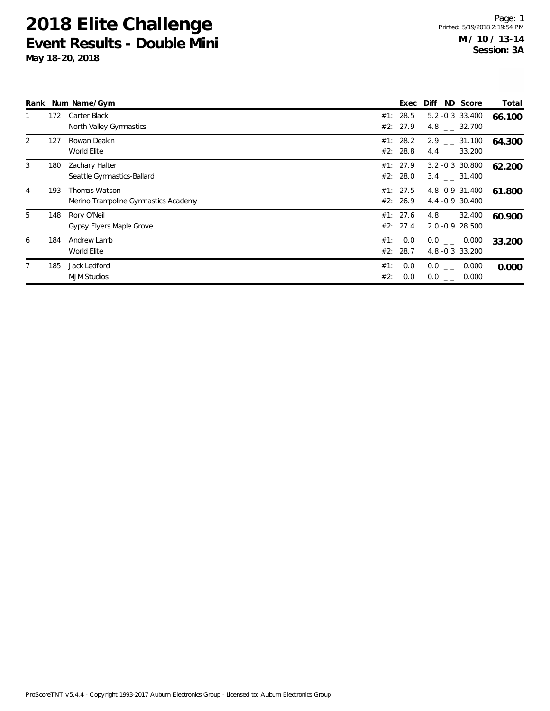|   |     | Rank Num Name/Gym                                     |            | Exec                 | ND Score<br>Diff                            | Total  |
|---|-----|-------------------------------------------------------|------------|----------------------|---------------------------------------------|--------|
|   | 172 | Carter Black<br>North Valley Gymnastics               | #1:        | 28.5<br>#2: 27.9     | $5.2 -0.3$ 33.400<br>4.8 . 32.700           | 66.100 |
| 2 | 127 | Rowan Deakin<br>World Elite                           |            | #1: 28.2<br>#2: 28.8 | $2.9$ $_{\sim}$ 31.100<br>4.4 . 33.200      | 64.300 |
| 3 | 180 | Zachary Halter<br>Seattle Gymnastics-Ballard          |            | #1: 27.9<br>#2: 28.0 | $3.2 -0.3$ 30.800<br>$3.4$ $_{\sim}$ 31.400 | 62.200 |
| 4 | 193 | Thomas Watson<br>Merino Trampoline Gymnastics Academy |            | #1: 27.5<br>#2: 26.9 | 4.8 -0.9 31.400<br>4.4 -0.9 30.400          | 61.800 |
| 5 | 148 | Rory O'Neil<br>Gypsy Flyers Maple Grove               |            | #1: 27.6<br>#2: 27.4 | $4.8$ $_{\sim}$ 32.400<br>2.0 -0.9 28.500   | 60.900 |
| 6 | 184 | Andrew Lamb<br>World Elite                            | #1:        | 0.0<br>#2: 28.7      | $0.0$ _._ 0.000<br>4.8 -0.3 33.200          | 33.200 |
|   | 185 | Jack Ledford<br><b>MJM Studios</b>                    | #1:<br>#2: | 0.0<br>0.0           | $0.0$ _ $-$<br>0.000<br>$0.0$ _ 0.000       | 0.000  |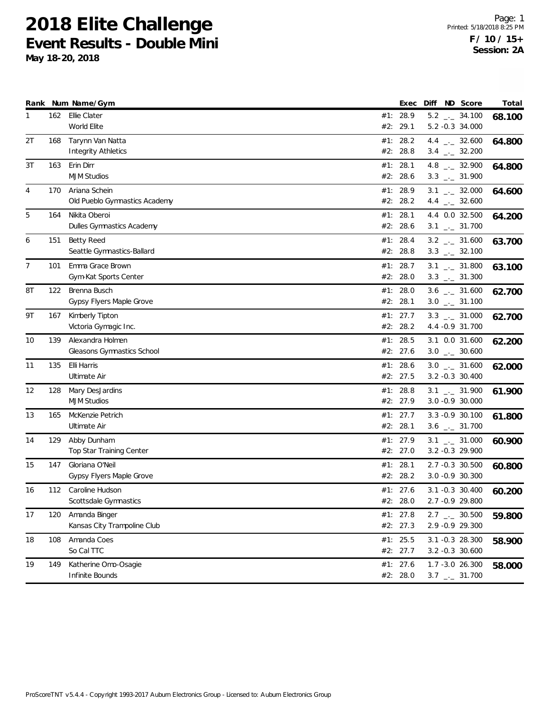|    |     | Rank Num Name/Gym               | Exec       |  | Diff ND Score                  | Total  |
|----|-----|---------------------------------|------------|--|--------------------------------|--------|
| 1  |     | 162 Ellie Clater                | #1: 28.9   |  | $5.2$ $_{\leftarrow}$ 34.100   | 68.100 |
|    |     | World Elite                     | #2: 29.1   |  | 5.2 -0.3 34.000                |        |
| 2T | 168 | Tarynn Van Natta                | #1: 28.2   |  | 4.4 $_{\leftarrow}$ 32.600     | 64.800 |
|    |     | <b>Integrity Athletics</b>      | #2: 28.8   |  | $3.4$ $_{\leftarrow}$ 32.200   |        |
| 3T | 163 | Erin Dirr                       | #1: 28.1   |  | 4.8 $_{\leftarrow}$ 32.900     | 64.800 |
|    |     | <b>MJM Studios</b>              | #2: 28.6   |  | $3.3$ $_{\sim}$ 31.900         |        |
| 4  | 170 | Ariana Schein                   | #1: 28.9   |  | $3.1$ $_{--}$ 32.000           | 64.600 |
|    |     | Old Pueblo Gymnastics Academy   | #2: 28.2   |  | 4.4 $\qquad$ 32.600            |        |
| 5  | 164 | Nikita Oberoi                   | #1: 28.1   |  | 4.4 0.0 32.500                 | 64.200 |
|    |     | Dulles Gymnastics Academy       | #2: 28.6   |  | $3.1$ $_{-}$ 31.700            |        |
| 6  | 151 | <b>Betty Reed</b>               | #1: 28.4   |  | $3.2$ $_{-}$ 31.600            | 63.700 |
|    |     | Seattle Gymnastics-Ballard      | #2: 28.8   |  | $3.3$ $_{\leftarrow}$ 32.100   |        |
| 7  | 101 | Emma Grace Brown                | #1: 28.7   |  | $3.1$ $_{-1}$ 31.800           | 63.100 |
|    |     | Gym-Kat Sports Center           | #2: 28.0   |  | $3.3$ $_{\leftarrow}$ 31.300   |        |
| 8T | 122 | Brenna Busch                    | #1: $28.0$ |  | $3.6$ _ $-31.600$              | 62.700 |
|    |     | Gypsy Flyers Maple Grove        | #2: 28.1   |  | $3.0$ _ $-31.100$              |        |
| 9T | 167 | Kimberly Tipton                 | #1: 27.7   |  | $3.3$ $_{\leftarrow -}$ 31.000 | 62.700 |
|    |     | Victoria Gymagic Inc.           | #2: 28.2   |  | 4.4 - 0.9 31.700               |        |
| 10 | 139 | Alexandra Holmen                | #1: 28.5   |  | 3.1 0.0 31.600                 | 62.200 |
|    |     | Gleasons Gymnastics School      | #2: 27.6   |  | $3.0$ _ $-30.600$              |        |
| 11 | 135 | Elli Harris                     | #1: 28.6   |  | $3.0$ __ 31.600                | 62.000 |
|    |     | Ultimate Air                    | #2: 27.5   |  | 3.2 -0.3 30.400                |        |
| 12 | 128 | Mary DesJardins                 | #1: 28.8   |  | $3.1$ $_{\leftarrow}$ 31.900   | 61.900 |
|    |     | <b>MJM Studios</b>              | #2: 27.9   |  | 3.0 -0.9 30.000                |        |
| 13 | 165 | McKenzie Petrich                | #1: 27.7   |  | 3.3 - 0.9 30.100               | 61.800 |
|    |     | Ultimate Air                    | #2: 28.1   |  | $3.6$ $_{-}$ 31.700            |        |
| 14 | 129 | Abby Dunham                     | #1: 27.9   |  | $3.1$ $_{\leftarrow}$ 31.000   | 60.900 |
|    |     | <b>Top Star Training Center</b> | #2: 27.0   |  | 3.2 -0.3 29.900                |        |
| 15 | 147 | Gloriana O'Neil                 | #1: 28.1   |  | 2.7 -0.3 30.500                | 60.800 |
|    |     | Gypsy Flyers Maple Grove        | #2: 28.2   |  | 3.0 -0.9 30.300                |        |
| 16 | 112 | Caroline Hudson                 | #1: 27.6   |  | $3.1 - 0.3$ 30.400             | 60.200 |
|    |     | Scottsdale Gymnastics           | #2: 28.0   |  | 2.7 -0.9 29.800                |        |
| 17 | 120 | Amanda Binger                   | #1: $27.8$ |  | $2.7$ $_{\leftarrow}$ 30.500   | 59.800 |
|    |     | Kansas City Trampoline Club     | #2: 27.3   |  | 2.9 -0.9 29.300                |        |
| 18 | 108 | Amanda Coes                     | #1: 25.5   |  | 3.1 -0.3 28.300                | 58.900 |
|    |     | So Cal TTC                      | #2: 27.7   |  | 3.2 -0.3 30.600                |        |
| 19 | 149 | Katherine Omo-Osagie            | #1: 27.6   |  | 1.7 -3.0 26.300                | 58.000 |
|    |     | Infinite Bounds                 | #2: 28.0   |  | $3.7$ $_{-}$ 31.700            |        |